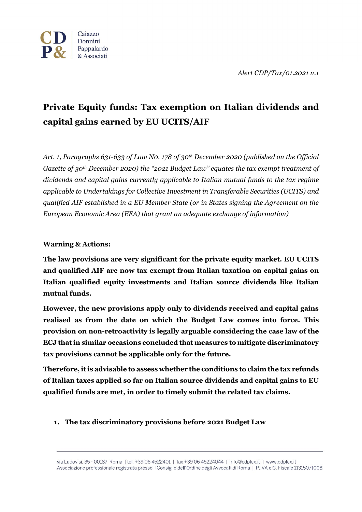*Alert CDP/Tax/01.2021 n.1*



## **Private Equity funds: Tax exemption on Italian dividends and capital gains earned by EU UCITS/AIF**

*Art. 1, Paragraphs 631-633 of Law N0. 178 of 30th December 2020 (published on the Official Gazette of 30th December 2020) the "2021 Budget Law" equates the tax exempt treatment of dividends and capital gains currently applicable to Italian mutual funds to the tax regime applicable to Undertakings for Collective Investment in Transferable Securities (UCITS) and qualified AIF established in a EU Member State (or in States signing the Agreement on the European Economic Area (EEA) that grant an adequate exchange of information)*

## **Warning & Actions:**

**The law provisions are very significant for the private equity market. EU UCITS and qualified AIF are now tax exempt from Italian taxation on capital gains on Italian qualified equity investments and Italian source dividends like Italian mutual funds.** 

**However, the new provisions apply only to dividends received and capital gains realised as from the date on which the Budget Law comes into force. This provision on non-retroactivity is legally arguable considering the case law of the ECJ that in similar occasions concluded that measures to mitigate discriminatory tax provisions cannot be applicable only for the future.** 

**Therefore, it is advisable to assess whether the conditions to claim the tax refunds of Italian taxes applied so far on Italian source dividends and capital gains to EU qualified funds are met, in order to timely submit the related tax claims.**

**1. The tax discriminatory provisions before 2021 Budget Law**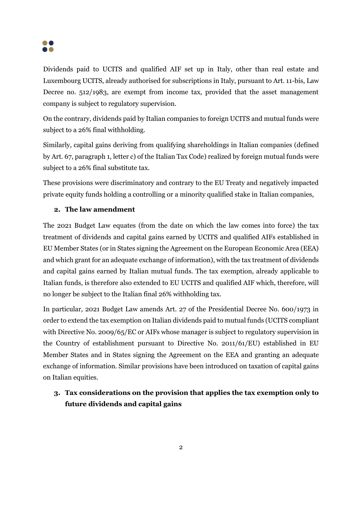

Dividends paid to UCITS and qualified AIF set up in Italy, other than real estate and Luxembourg UCITS, already authorised for subscriptions in Italy, pursuant to Art. 11-bis, Law Decree no. 512/1983, are exempt from income tax, provided that the asset management company is subject to regulatory supervision.

On the contrary, dividends paid by Italian companies to foreign UCITS and mutual funds were subject to a 26% final withholding.

Similarly, capital gains deriving from qualifying shareholdings in Italian companies (defined by Art. 67, paragraph 1, letter c) of the Italian Tax Code) realized by foreign mutual funds were subject to a 26% final substitute tax.

These provisions were discriminatory and contrary to the EU Treaty and negatively impacted private equity funds holding a controlling or a minority qualified stake in Italian companies,

## **2. The law amendment**

The 2021 Budget Law equates (from the date on which the law comes into force) the tax treatment of dividends and capital gains earned by UCITS and qualified AIFs established in EU Member States (or in States signing the Agreement on the European Economic Area (EEA) and which grant for an adequate exchange of information), with the tax treatment of dividends and capital gains earned by Italian mutual funds. The tax exemption, already applicable to Italian funds, is therefore also extended to EU UCITS and qualified AIF which, therefore, will no longer be subject to the Italian final 26% withholding tax.

In particular, 2021 Budget Law amends Art. 27 of the Presidential Decree No. 600/1973 in order to extend the tax exemption on Italian dividends paid to mutual funds (UCITS compliant with Directive No. 2009/65/EC or AIFs whose manager is subject to regulatory supervision in the Country of establishment pursuant to Directive No. 2011/61/EU) established in EU Member States and in States signing the Agreement on the EEA and granting an adequate exchange of information. Similar provisions have been introduced on taxation of capital gains on Italian equities.

**3. Tax considerations on the provision that applies the tax exemption only to future dividends and capital gains**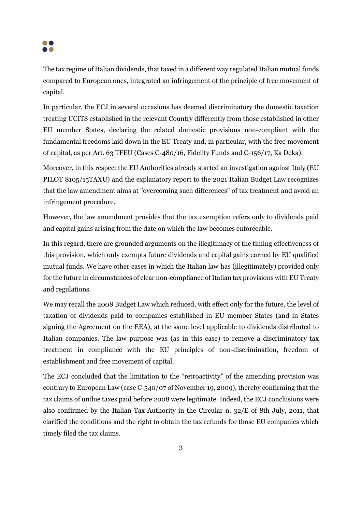

The tax regime of Italian dividends, that taxed in a different way regulated Italian mutual funds compared to European ones, integrated an infringement of the principle of free movement of capital.

In particular, the ECJ in several occasions has deemed discriminatory the domestic taxation treating UCITS established in the relevant Country differently from those established in other EU member States, declaring the related domestic provisions non-compliant with the fundamental freedoms laid down in the EU Treaty and, in particular, with the free movement of capital, as per Art. 63 TFEU (Cases C-480/16, Fidelity Funds and C-156/17, Ka Deka).

Moreover, in this respect the EU Authorities already started an investigation against Italy (EU PILOT 8105/15TAXU) and the explanatory report to the 2021 Italian Budget Law recognizes that the law amendment aims at "overcoming such differences" of tax treatment and avoid an infringement procedure.

However, the law amendment provides that the tax exemption refers only to dividends paid and capital gains arising from the date on which the law becomes enforceable.

In this regard, there are grounded arguments on the illegitimacy of the timing effectiveness of this provision, which only exempts future dividends and capital gains earned by EU qualified mutual funds. We have other cases in which the Italian law has (illegitimately) provided only for the future in circumstances of clear non-compliance of Italian tax provisions with EU Treaty and regulations.

We may recall the 2008 Budget Law which reduced, with effect only for the future, the level of taxation of dividends paid to companies established in EU member States (and in States signing the Agreement on the EEA), at the same level applicable to dividends distributed to Italian companies. The law purpose was (as in this case) to remove a discriminatory tax treatment in compliance with the EU principles of non-discrimination, freedom of establishment and free movement of capital.

The ECJ concluded that the limitation to the "retroactivity" of the amending provision was contrary to European Law (case C-540/07 of November 19, 2009), thereby confirming that the tax claims of undue taxes paid before 2008 were legitimate. Indeed, the ECJ conclusions were also confirmed by the Italian Tax Authority in the Circular n. 32/E of 8th July, 2011, that clarified the conditions and the right to obtain the tax refunds for those EU companies which timely filed the tax claims.